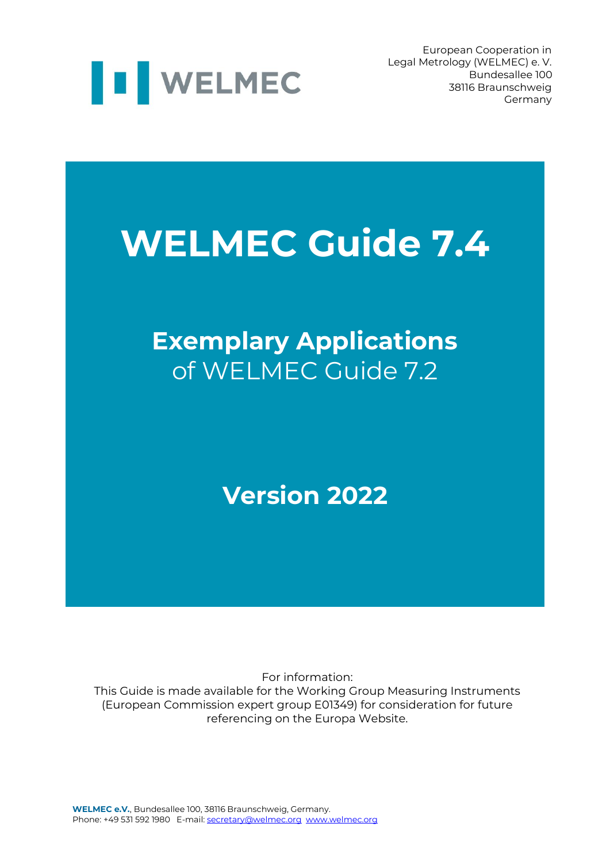

European Cooperation in Legal Metrology (WELMEC) e. V. Bundesallee 100 38116 Braunschweig Germany

# **WELMEC Guide 7.4**

# **Exemplary Applications** of WELMEC Guide 7.2

# **Version 2022**

For information:

This Guide is made available for the Working Group Measuring Instruments (European Commission expert group E01349) for consideration for future referencing on the Europa Website.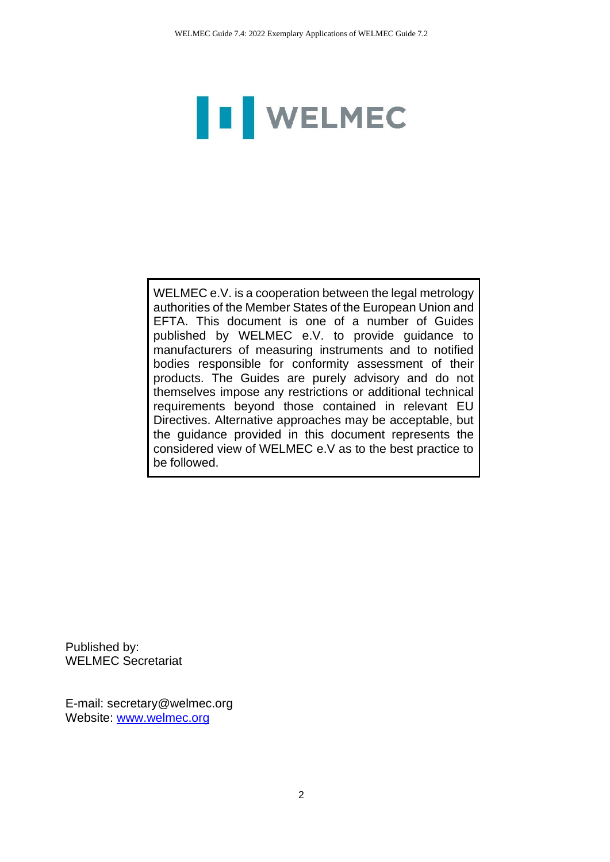# I WELMEC

WELMEC e.V. is a cooperation between the legal metrology authorities of the Member States of the European Union and EFTA. This document is one of a number of Guides published by WELMEC e.V. to provide guidance to manufacturers of measuring instruments and to notified bodies responsible for conformity assessment of their products. The Guides are purely advisory and do not themselves impose any restrictions or additional technical requirements beyond those contained in relevant EU Directives. Alternative approaches may be acceptable, but the guidance provided in this document represents the considered view of WELMEC e.V as to the best practice to be followed.

Published by: WELMEC Secretariat

E-mail: secretary@welmec.org Website: www.welmec.org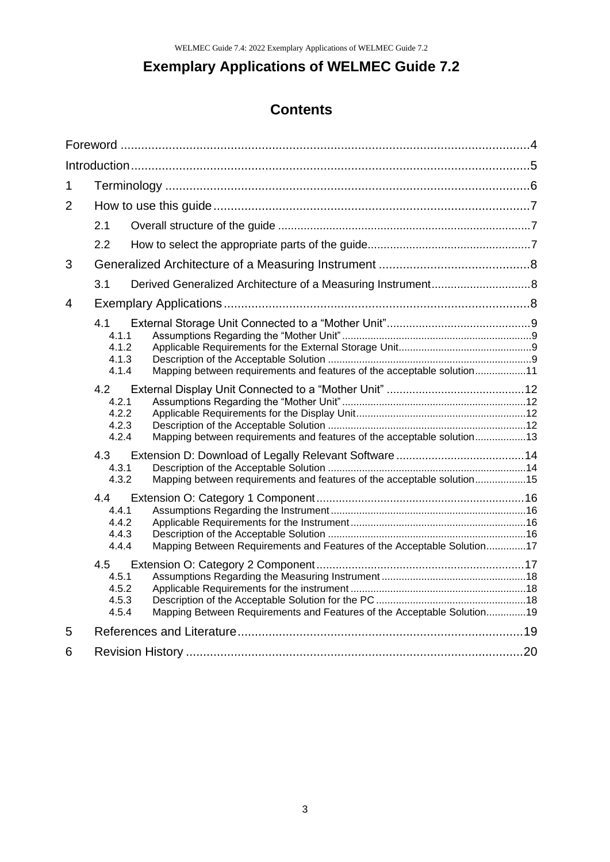# **Exemplary Applications of WELMEC Guide 7.2**

### **Contents**

| $\mathbf 1$    |                                         |                                                                        |  |
|----------------|-----------------------------------------|------------------------------------------------------------------------|--|
| $\overline{2}$ |                                         |                                                                        |  |
|                | 2.1                                     |                                                                        |  |
|                | 2.2                                     |                                                                        |  |
| 3              |                                         |                                                                        |  |
|                | 3.1                                     |                                                                        |  |
| 4              |                                         |                                                                        |  |
|                | 4.1<br>4.1.1<br>4.1.2<br>4.1.3<br>4.1.4 | Mapping between requirements and features of the acceptable solution11 |  |
|                | 4.2<br>4.2.1<br>4.2.2<br>4.2.3<br>4.2.4 | Mapping between requirements and features of the acceptable solution13 |  |
|                | 4.3<br>4.3.1<br>4.3.2                   | Mapping between requirements and features of the acceptable solution15 |  |
|                | 44<br>4.4.1<br>4.4.2<br>4.4.3<br>4.4.4  | Mapping Between Requirements and Features of the Acceptable Solution17 |  |
|                | 4.5<br>4.5.1<br>4.5.2<br>4.5.3<br>4.5.4 | Mapping Between Requirements and Features of the Acceptable Solution19 |  |
| 5              |                                         |                                                                        |  |
| 6              |                                         |                                                                        |  |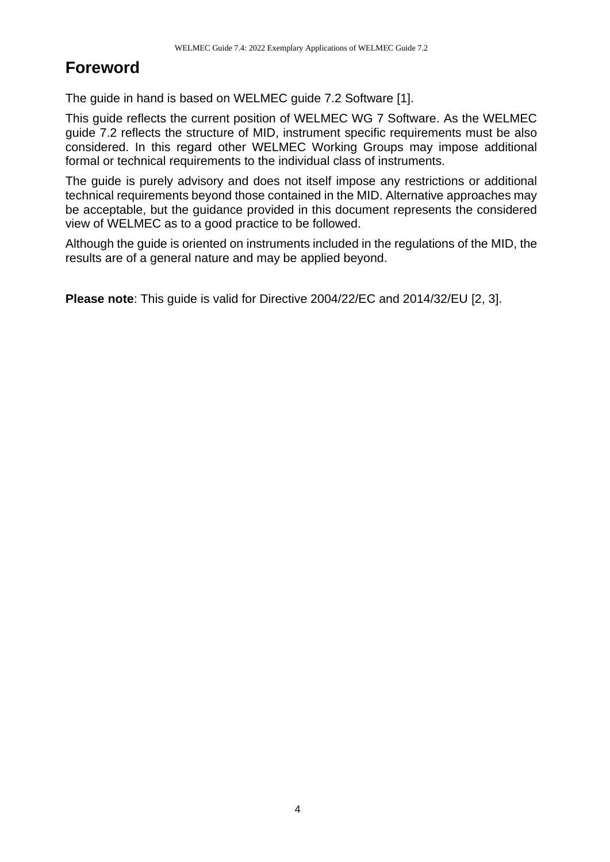# <span id="page-3-0"></span>**Foreword**

The guide in hand is based on WELMEC guide 7.2 Software [1].

This guide reflects the current position of WELMEC WG 7 Software. As the WELMEC guide 7.2 reflects the structure of MID, instrument specific requirements must be also considered. In this regard other WELMEC Working Groups may impose additional formal or technical requirements to the individual class of instruments.

The guide is purely advisory and does not itself impose any restrictions or additional technical requirements beyond those contained in the MID. Alternative approaches may be acceptable, but the guidance provided in this document represents the considered view of WELMEC as to a good practice to be followed.

Although the guide is oriented on instruments included in the regulations of the MID, the results are of a general nature and may be applied beyond.

**Please note**: This guide is valid for Directive 2004/22/EC and 2014/32/EU [2, 3].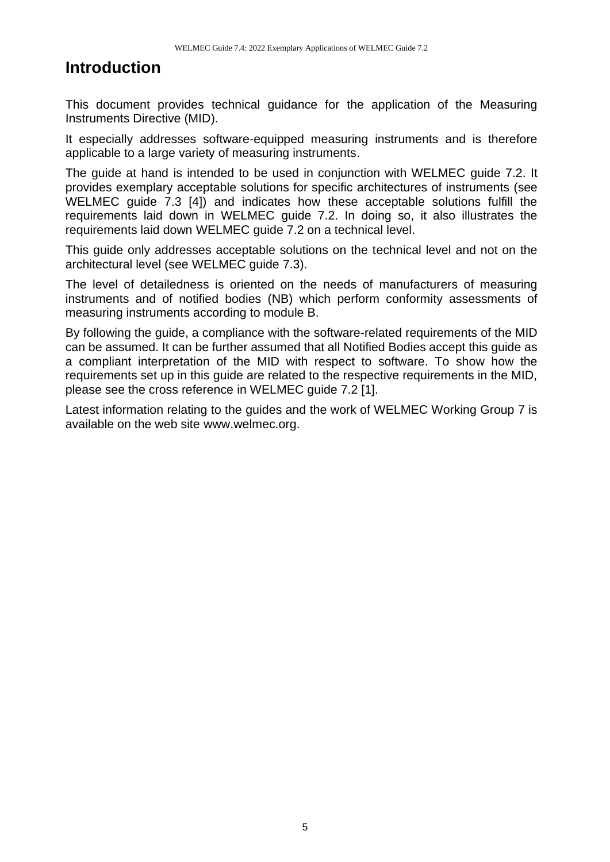## <span id="page-4-0"></span>**Introduction**

This document provides technical guidance for the application of the Measuring Instruments Directive (MID).

It especially addresses software-equipped measuring instruments and is therefore applicable to a large variety of measuring instruments.

The guide at hand is intended to be used in conjunction with WELMEC guide 7.2. It provides exemplary acceptable solutions for specific architectures of instruments (see WELMEC guide 7.3 [4]) and indicates how these acceptable solutions fulfill the requirements laid down in WELMEC guide 7.2. In doing so, it also illustrates the requirements laid down WELMEC guide 7.2 on a technical level.

This guide only addresses acceptable solutions on the technical level and not on the architectural level (see WELMEC guide 7.3).

The level of detailedness is oriented on the needs of manufacturers of measuring instruments and of notified bodies (NB) which perform conformity assessments of measuring instruments according to module B.

By following the guide, a compliance with the software-related requirements of the MID can be assumed. It can be further assumed that all Notified Bodies accept this guide as a compliant interpretation of the MID with respect to software. To show how the requirements set up in this guide are related to the respective requirements in the MID, please see the cross reference in WELMEC guide 7.2 [1].

Latest information relating to the guides and the work of WELMEC Working Group 7 is available on the web site www.welmec.org.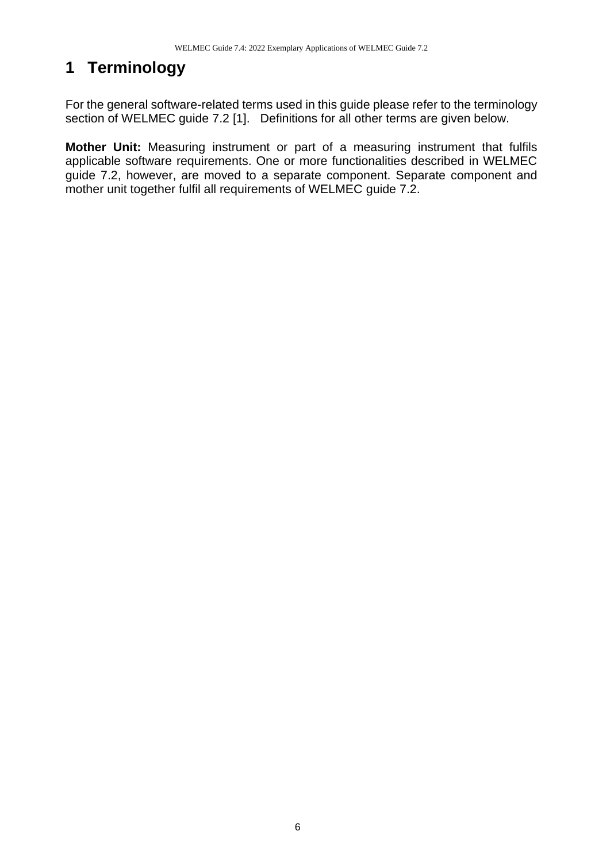# <span id="page-5-0"></span>**1 Terminology**

For the general software-related terms used in this guide please refer to the terminology section of WELMEC guide 7.2 [1]. Definitions for all other terms are given below.

**Mother Unit:** Measuring instrument or part of a measuring instrument that fulfils applicable software requirements. One or more functionalities described in WELMEC guide 7.2, however, are moved to a separate component. Separate component and mother unit together fulfil all requirements of WELMEC guide 7.2.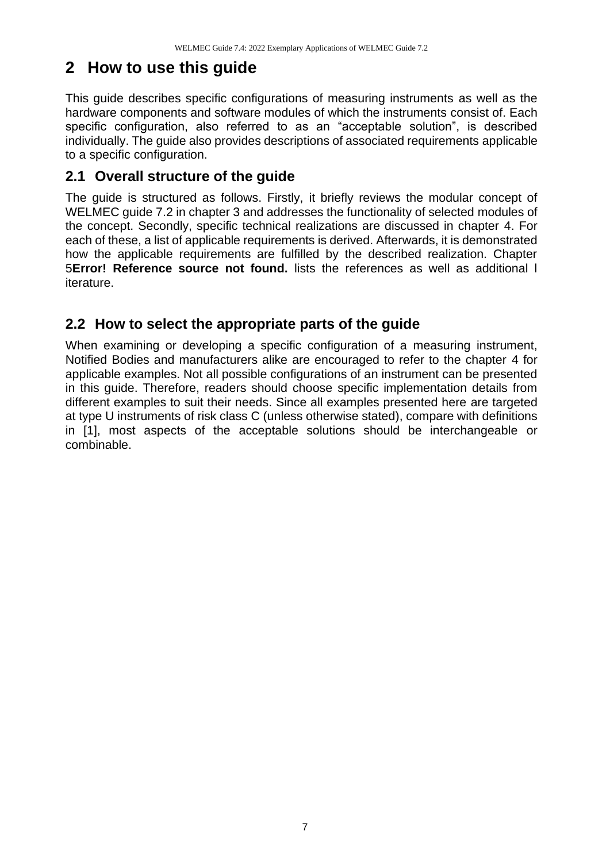### <span id="page-6-0"></span>**2 How to use this guide**

This guide describes specific configurations of measuring instruments as well as the hardware components and software modules of which the instruments consist of. Each specific configuration, also referred to as an "acceptable solution", is described individually. The guide also provides descriptions of associated requirements applicable to a specific configuration.

#### <span id="page-6-1"></span>**2.1 Overall structure of the guide**

The guide is structured as follows. Firstly, it briefly reviews the modular concept of WELMEC guide 7.2 in chapter [3](#page-7-0) and addresses the functionality of selected modules of the concept. Secondly, specific technical realizations are discussed in chapter [4.](#page-7-2) For each of these, a list of applicable requirements is derived. Afterwards, it is demonstrated how the applicable requirements are fulfilled by the described realization. Chapter [5](#page-18-1)**Error! Reference source not found.** lists the references as well as additional l iterature.

#### <span id="page-6-2"></span>**2.2 How to select the appropriate parts of the guide**

When examining or developing a specific configuration of a measuring instrument, Notified Bodies and manufacturers alike are encouraged to refer to the chapter [4](#page-7-2) for applicable examples. Not all possible configurations of an instrument can be presented in this guide. Therefore, readers should choose specific implementation details from different examples to suit their needs. Since all examples presented here are targeted at type U instruments of risk class C (unless otherwise stated), compare with definitions in [1], most aspects of the acceptable solutions should be interchangeable or combinable.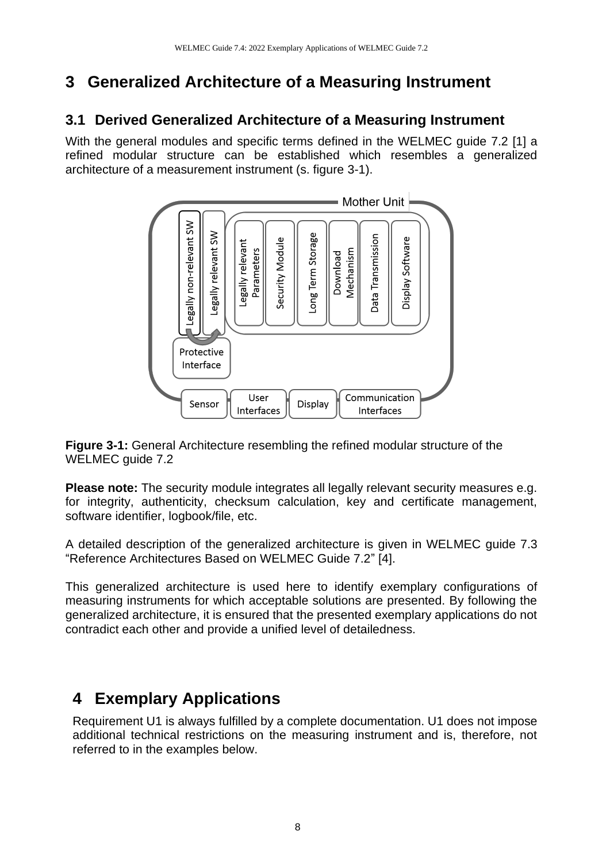# <span id="page-7-0"></span>**3 Generalized Architecture of a Measuring Instrument**

#### <span id="page-7-1"></span>**3.1 Derived Generalized Architecture of a Measuring Instrument**

With the general modules and specific terms defined in the WELMEC guide 7.2 [1] a refined modular structure can be established which resembles a generalized architecture of a measurement instrument (s. figure 3-1).



**Figure 3-1:** General Architecture resembling the refined modular structure of the WELMEC guide 7.2

**Please note:** The security module integrates all legally relevant security measures e.g. for integrity, authenticity, checksum calculation, key and certificate management, software identifier, logbook/file, etc.

A detailed description of the generalized architecture is given in WELMEC guide 7.3 "Reference Architectures Based on WELMEC Guide 7.2" [4].

This generalized architecture is used here to identify exemplary configurations of measuring instruments for which acceptable solutions are presented. By following the generalized architecture, it is ensured that the presented exemplary applications do not contradict each other and provide a unified level of detailedness.

# <span id="page-7-2"></span>**4 Exemplary Applications**

Requirement U1 is always fulfilled by a complete documentation. U1 does not impose additional technical restrictions on the measuring instrument and is, therefore, not referred to in the examples below.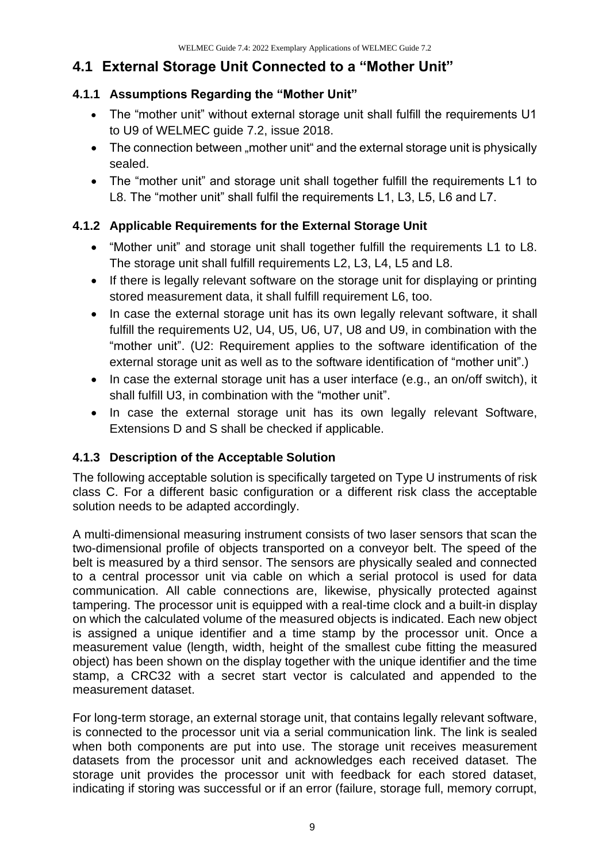#### <span id="page-8-0"></span>**4.1 External Storage Unit Connected to a "Mother Unit"**

#### <span id="page-8-1"></span>**4.1.1 Assumptions Regarding the "Mother Unit"**

- The "mother unit" without external storage unit shall fulfill the requirements U1 to U9 of WELMEC guide 7.2, issue 2018.
- The connection between "mother unit" and the external storage unit is physically sealed.
- The "mother unit" and storage unit shall together fulfill the requirements L1 to L8. The "mother unit" shall fulfil the requirements L1, L3, L5, L6 and L7.

#### <span id="page-8-2"></span>**4.1.2 Applicable Requirements for the External Storage Unit**

- "Mother unit" and storage unit shall together fulfill the requirements L1 to L8. The storage unit shall fulfill requirements L2, L3, L4, L5 and L8.
- If there is legally relevant software on the storage unit for displaying or printing stored measurement data, it shall fulfill requirement L6, too.
- In case the external storage unit has its own legally relevant software, it shall fulfill the requirements U2, U4, U5, U6, U7, U8 and U9, in combination with the "mother unit". (U2: Requirement applies to the software identification of the external storage unit as well as to the software identification of "mother unit".)
- In case the external storage unit has a user interface (e.g., an on/off switch), it shall fulfill U3, in combination with the "mother unit".
- In case the external storage unit has its own legally relevant Software, Extensions D and S shall be checked if applicable.

#### <span id="page-8-3"></span>**4.1.3 Description of the Acceptable Solution**

The following acceptable solution is specifically targeted on Type U instruments of risk class C. For a different basic configuration or a different risk class the acceptable solution needs to be adapted accordingly.

A multi-dimensional measuring instrument consists of two laser sensors that scan the two-dimensional profile of objects transported on a conveyor belt. The speed of the belt is measured by a third sensor. The sensors are physically sealed and connected to a central processor unit via cable on which a serial protocol is used for data communication. All cable connections are, likewise, physically protected against tampering. The processor unit is equipped with a real-time clock and a built-in display on which the calculated volume of the measured objects is indicated. Each new object is assigned a unique identifier and a time stamp by the processor unit. Once a measurement value (length, width, height of the smallest cube fitting the measured object) has been shown on the display together with the unique identifier and the time stamp, a CRC32 with a secret start vector is calculated and appended to the measurement dataset.

For long-term storage, an external storage unit, that contains legally relevant software, is connected to the processor unit via a serial communication link. The link is sealed when both components are put into use. The storage unit receives measurement datasets from the processor unit and acknowledges each received dataset. The storage unit provides the processor unit with feedback for each stored dataset, indicating if storing was successful or if an error (failure, storage full, memory corrupt,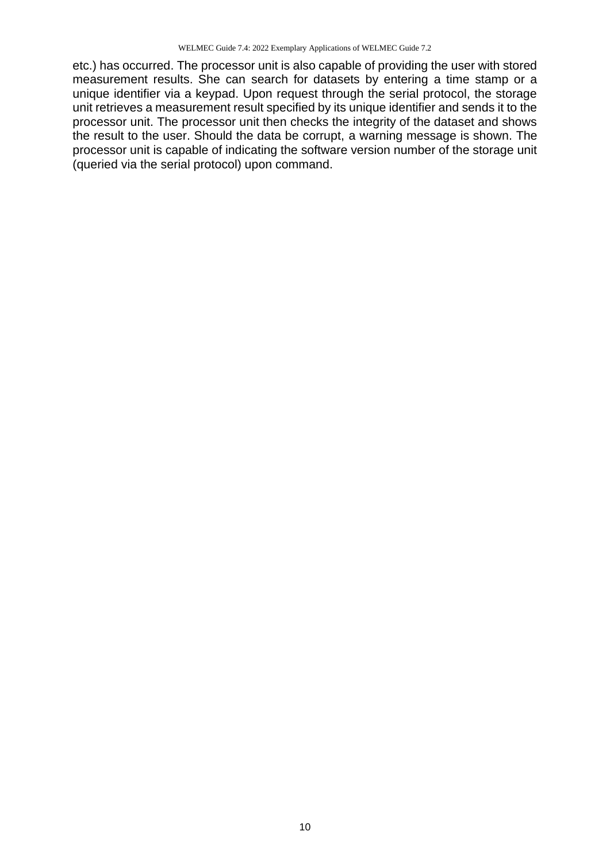etc.) has occurred. The processor unit is also capable of providing the user with stored measurement results. She can search for datasets by entering a time stamp or a unique identifier via a keypad. Upon request through the serial protocol, the storage unit retrieves a measurement result specified by its unique identifier and sends it to the processor unit. The processor unit then checks the integrity of the dataset and shows the result to the user. Should the data be corrupt, a warning message is shown. The processor unit is capable of indicating the software version number of the storage unit (queried via the serial protocol) upon command.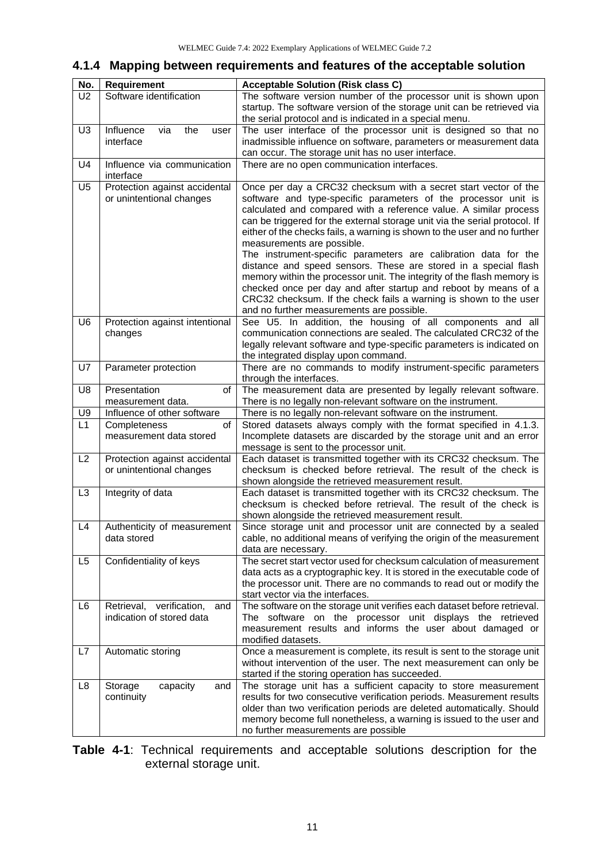#### <span id="page-10-0"></span>**4.1.4 Mapping between requirements and features of the acceptable solution**

| No.            | Requirement                     | <b>Acceptable Solution (Risk class C)</b>                                                                                             |
|----------------|---------------------------------|---------------------------------------------------------------------------------------------------------------------------------------|
| U2             | Software identification         | The software version number of the processor unit is shown upon                                                                       |
|                |                                 | startup. The software version of the storage unit can be retrieved via                                                                |
|                |                                 | the serial protocol and is indicated in a special menu.                                                                               |
| U <sub>3</sub> | Influence<br>via<br>the<br>user | The user interface of the processor unit is designed so that no                                                                       |
|                | interface                       | inadmissible influence on software, parameters or measurement data                                                                    |
|                |                                 | can occur. The storage unit has no user interface.                                                                                    |
| U4             | Influence via communication     | There are no open communication interfaces.                                                                                           |
|                | interface                       |                                                                                                                                       |
| U <sub>5</sub> | Protection against accidental   | Once per day a CRC32 checksum with a secret start vector of the                                                                       |
|                | or unintentional changes        | software and type-specific parameters of the processor unit is<br>calculated and compared with a reference value. A similar process   |
|                |                                 | can be triggered for the external storage unit via the serial protocol. If                                                            |
|                |                                 | either of the checks fails, a warning is shown to the user and no further                                                             |
|                |                                 | measurements are possible.                                                                                                            |
|                |                                 | The instrument-specific parameters are calibration data for the                                                                       |
|                |                                 | distance and speed sensors. These are stored in a special flash                                                                       |
|                |                                 | memory within the processor unit. The integrity of the flash memory is                                                                |
|                |                                 | checked once per day and after startup and reboot by means of a                                                                       |
|                |                                 | CRC32 checksum. If the check fails a warning is shown to the user                                                                     |
|                |                                 | and no further measurements are possible.                                                                                             |
| U <sub>6</sub> | Protection against intentional  | See U5. In addition, the housing of all components and all                                                                            |
|                | changes                         | communication connections are sealed. The calculated CRC32 of the                                                                     |
|                |                                 | legally relevant software and type-specific parameters is indicated on                                                                |
| U7             | Parameter protection            | the integrated display upon command.<br>There are no commands to modify instrument-specific parameters                                |
|                |                                 | through the interfaces.                                                                                                               |
| U8             | Presentation<br>of              | The measurement data are presented by legally relevant software.                                                                      |
|                | measurement data.               | There is no legally non-relevant software on the instrument.                                                                          |
| U9             | Influence of other software     | There is no legally non-relevant software on the instrument.                                                                          |
| L1             | Completeness<br>of              | Stored datasets always comply with the format specified in 4.1.3.                                                                     |
|                | measurement data stored         | Incomplete datasets are discarded by the storage unit and an error                                                                    |
|                |                                 | message is sent to the processor unit.                                                                                                |
| L2             | Protection against accidental   | Each dataset is transmitted together with its CRC32 checksum. The                                                                     |
|                | or unintentional changes        | checksum is checked before retrieval. The result of the check is                                                                      |
|                |                                 | shown alongside the retrieved measurement result.                                                                                     |
| L <sub>3</sub> | Integrity of data               | Each dataset is transmitted together with its CRC32 checksum. The<br>checksum is checked before retrieval. The result of the check is |
|                |                                 | shown alongside the retrieved measurement result.                                                                                     |
| L4             | Authenticity of measurement     | Since storage unit and processor unit are connected by a sealed                                                                       |
|                | data stored                     | cable, no additional means of verifying the origin of the measurement                                                                 |
|                |                                 | data are necessary.                                                                                                                   |
| L <sub>5</sub> | Confidentiality of keys         | The secret start vector used for checksum calculation of measurement                                                                  |
|                |                                 | data acts as a cryptographic key. It is stored in the executable code of                                                              |
|                |                                 | the processor unit. There are no commands to read out or modify the                                                                   |
|                |                                 | start vector via the interfaces.                                                                                                      |
| L6             | Retrieval, verification,<br>and | The software on the storage unit verifies each dataset before retrieval.                                                              |
|                | indication of stored data       | The software on the processor unit displays the retrieved                                                                             |
|                |                                 | measurement results and informs the user about damaged or                                                                             |
|                |                                 | modified datasets.                                                                                                                    |
| L7             | Automatic storing               | Once a measurement is complete, its result is sent to the storage unit                                                                |
|                |                                 | without intervention of the user. The next measurement can only be<br>started if the storing operation has succeeded.                 |
| L8             | Storage<br>capacity<br>and      | The storage unit has a sufficient capacity to store measurement                                                                       |
|                | continuity                      | results for two consecutive verification periods. Measurement results                                                                 |
|                |                                 | older than two verification periods are deleted automatically. Should                                                                 |
|                |                                 | memory become full nonetheless, a warning is issued to the user and                                                                   |
|                |                                 | no further measurements are possible                                                                                                  |
|                |                                 |                                                                                                                                       |

**Table 4-1**: Technical requirements and acceptable solutions description for the external storage unit.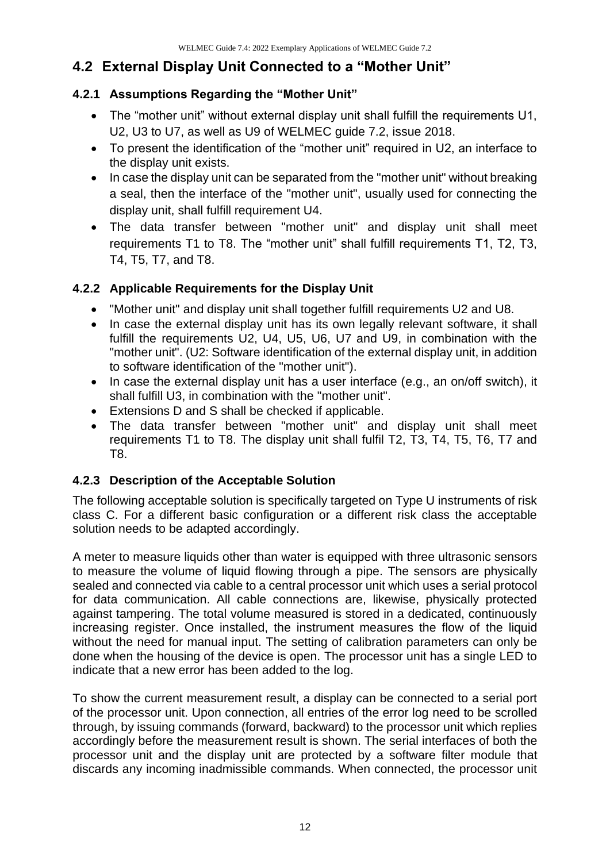#### <span id="page-11-0"></span>**4.2 External Display Unit Connected to a "Mother Unit"**

#### <span id="page-11-1"></span>**4.2.1 Assumptions Regarding the "Mother Unit"**

- The "mother unit" without external display unit shall fulfill the requirements U1, U2, U3 to U7, as well as U9 of WELMEC guide 7.2, issue 2018.
- To present the identification of the "mother unit" required in U2, an interface to the display unit exists.
- In case the display unit can be separated from the "mother unit" without breaking a seal, then the interface of the "mother unit", usually used for connecting the display unit, shall fulfill requirement U4.
- The data transfer between "mother unit" and display unit shall meet requirements T1 to T8. The "mother unit" shall fulfill requirements T1, T2, T3, T4, T5, T7, and T8.

#### <span id="page-11-2"></span>**4.2.2 Applicable Requirements for the Display Unit**

- "Mother unit" and display unit shall together fulfill requirements U2 and U8.
- In case the external display unit has its own legally relevant software, it shall fulfill the requirements U2, U4, U5, U6, U7 and U9, in combination with the "mother unit". (U2: Software identification of the external display unit, in addition to software identification of the "mother unit").
- In case the external display unit has a user interface (e.g., an on/off switch), it shall fulfill U3, in combination with the "mother unit".
- Extensions D and S shall be checked if applicable.
- The data transfer between "mother unit" and display unit shall meet requirements T1 to T8. The display unit shall fulfil T2, T3, T4, T5, T6, T7 and T8.

#### <span id="page-11-3"></span>**4.2.3 Description of the Acceptable Solution**

The following acceptable solution is specifically targeted on Type U instruments of risk class C. For a different basic configuration or a different risk class the acceptable solution needs to be adapted accordingly.

A meter to measure liquids other than water is equipped with three ultrasonic sensors to measure the volume of liquid flowing through a pipe. The sensors are physically sealed and connected via cable to a central processor unit which uses a serial protocol for data communication. All cable connections are, likewise, physically protected against tampering. The total volume measured is stored in a dedicated, continuously increasing register. Once installed, the instrument measures the flow of the liquid without the need for manual input. The setting of calibration parameters can only be done when the housing of the device is open. The processor unit has a single LED to indicate that a new error has been added to the log.

To show the current measurement result, a display can be connected to a serial port of the processor unit. Upon connection, all entries of the error log need to be scrolled through, by issuing commands (forward, backward) to the processor unit which replies accordingly before the measurement result is shown. The serial interfaces of both the processor unit and the display unit are protected by a software filter module that discards any incoming inadmissible commands. When connected, the processor unit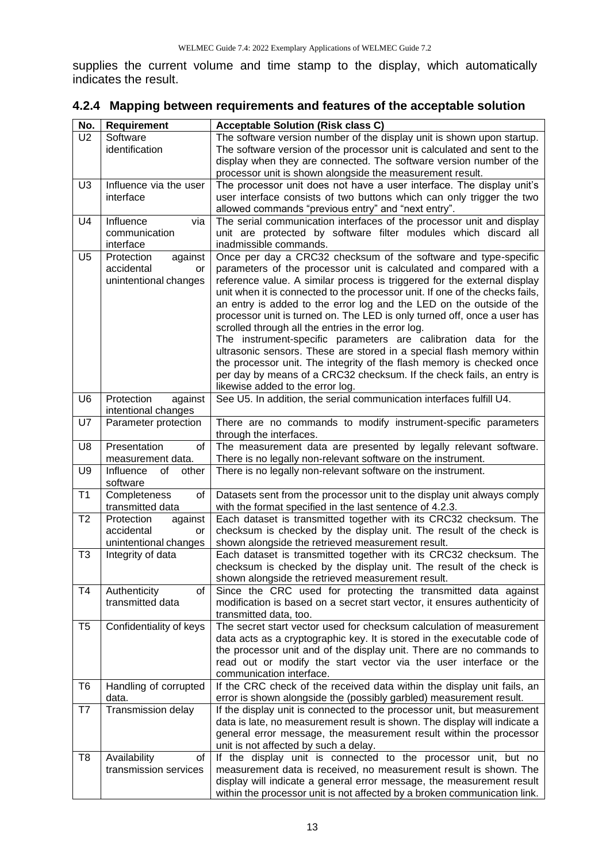supplies the current volume and time stamp to the display, which automatically indicates the result.

<span id="page-12-0"></span>

| 4.2.4 Mapping between requirements and features of the acceptable solution |  |  |
|----------------------------------------------------------------------------|--|--|
|                                                                            |  |  |

| No.            | <b>Requirement</b>       | <b>Acceptable Solution (Risk class C)</b>                                    |
|----------------|--------------------------|------------------------------------------------------------------------------|
| U <sub>2</sub> | Software                 | The software version number of the display unit is shown upon startup.       |
|                | identification           | The software version of the processor unit is calculated and sent to the     |
|                |                          | display when they are connected. The software version number of the          |
|                |                          | processor unit is shown alongside the measurement result.                    |
| U <sub>3</sub> | Influence via the user   | The processor unit does not have a user interface. The display unit's        |
|                |                          |                                                                              |
|                | interface                | user interface consists of two buttons which can only trigger the two        |
|                |                          | allowed commands "previous entry" and "next entry".                          |
| U4             | Influence<br>via         | The serial communication interfaces of the processor unit and display        |
|                | communication            | unit are protected by software filter modules which discard all              |
|                | interface                | inadmissible commands.                                                       |
| U <sub>5</sub> | Protection<br>against    | Once per day a CRC32 checksum of the software and type-specific              |
|                | accidental<br>or         | parameters of the processor unit is calculated and compared with a           |
|                | unintentional changes    | reference value. A similar process is triggered for the external display     |
|                |                          | unit when it is connected to the processor unit. If one of the checks fails, |
|                |                          |                                                                              |
|                |                          | an entry is added to the error log and the LED on the outside of the         |
|                |                          | processor unit is turned on. The LED is only turned off, once a user has     |
|                |                          | scrolled through all the entries in the error log.                           |
|                |                          | The instrument-specific parameters are calibration data for the              |
|                |                          | ultrasonic sensors. These are stored in a special flash memory within        |
|                |                          | the processor unit. The integrity of the flash memory is checked once        |
|                |                          | per day by means of a CRC32 checksum. If the check fails, an entry is        |
|                |                          | likewise added to the error log.                                             |
| U <sub>6</sub> | Protection<br>against    | See U5. In addition, the serial communication interfaces fulfill U4.         |
|                | intentional changes      |                                                                              |
| U7             | Parameter protection     | There are no commands to modify instrument-specific parameters               |
|                |                          | through the interfaces.                                                      |
| U8             | Presentation<br>of       | The measurement data are presented by legally relevant software.             |
|                |                          |                                                                              |
|                | measurement data.        | There is no legally non-relevant software on the instrument.                 |
| U <sub>9</sub> | Influence<br>οf<br>other | There is no legally non-relevant software on the instrument.                 |
|                | software                 |                                                                              |
| T <sub>1</sub> | Completeness<br>of       | Datasets sent from the processor unit to the display unit always comply      |
|                | transmitted data         | with the format specified in the last sentence of 4.2.3.                     |
| T <sub>2</sub> | Protection<br>against    | Each dataset is transmitted together with its CRC32 checksum. The            |
|                | accidental<br>or         | checksum is checked by the display unit. The result of the check is          |
|                | unintentional changes    | shown alongside the retrieved measurement result.                            |
| T <sub>3</sub> | Integrity of data        | Each dataset is transmitted together with its CRC32 checksum. The            |
|                |                          | checksum is checked by the display unit. The result of the check is          |
|                |                          | shown alongside the retrieved measurement result.                            |
| T <sub>4</sub> | Authenticity<br>οf       | Since the CRC used for protecting the transmitted data against               |
|                | transmitted data         |                                                                              |
|                |                          | modification is based on a secret start vector, it ensures authenticity of   |
|                |                          | transmitted data, too.                                                       |
| T <sub>5</sub> | Confidentiality of keys  | The secret start vector used for checksum calculation of measurement         |
|                |                          | data acts as a cryptographic key. It is stored in the executable code of     |
|                |                          | the processor unit and of the display unit. There are no commands to         |
|                |                          | read out or modify the start vector via the user interface or the            |
|                |                          | communication interface.                                                     |
| T <sub>6</sub> | Handling of corrupted    | If the CRC check of the received data within the display unit fails, an      |
|                | data.                    | error is shown alongside the (possibly garbled) measurement result.          |
| T7             | Transmission delay       | If the display unit is connected to the processor unit, but measurement      |
|                |                          | data is late, no measurement result is shown. The display will indicate a    |
|                |                          | general error message, the measurement result within the processor           |
|                |                          | unit is not affected by such a delay.                                        |
|                |                          |                                                                              |
| T8             | Availability<br>οf       | If the display unit is connected to the processor unit, but no               |
|                | transmission services    | measurement data is received, no measurement result is shown. The            |
|                |                          | display will indicate a general error message, the measurement result        |
|                |                          | within the processor unit is not affected by a broken communication link.    |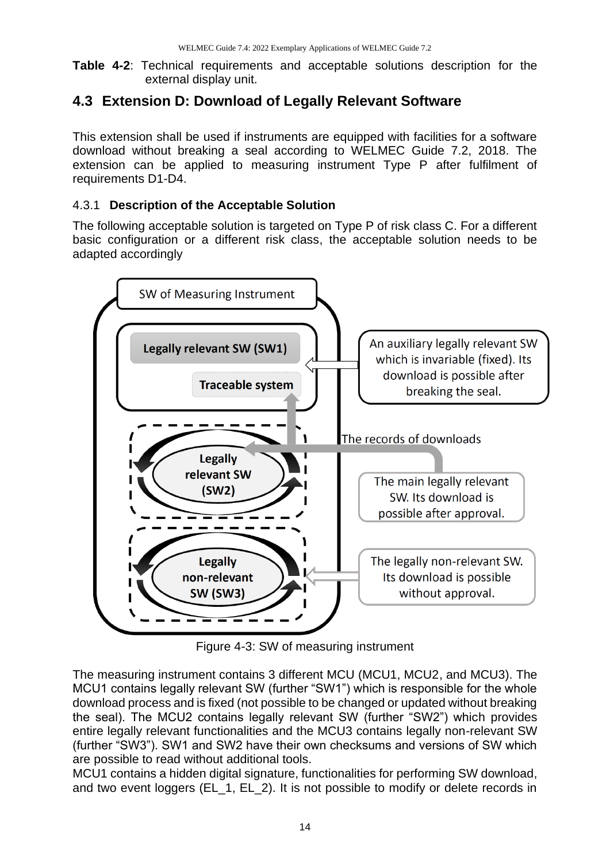**Table 4-2**: Technical requirements and acceptable solutions description for the external display unit.

#### <span id="page-13-0"></span>**4.3 Extension D: Download of Legally Relevant Software**

This extension shall be used if instruments are equipped with facilities for a software download without breaking a seal according to WELMEC Guide 7.2, 2018. The extension can be applied to measuring instrument Type P after fulfilment of requirements D1-D4.

#### <span id="page-13-1"></span>4.3.1 **Description of the Acceptable Solution**

The following acceptable solution is targeted on Type P of risk class C. For a different basic configuration or a different risk class, the acceptable solution needs to be adapted accordingly



Figure 4-3: SW of measuring instrument

The measuring instrument contains 3 different MCU (MCU1, MCU2, and MCU3). The MCU1 contains legally relevant SW (further "SW1") which is responsible for the whole download process and is fixed (not possible to be changed or updated without breaking the seal). The MCU2 contains legally relevant SW (further "SW2") which provides entire legally relevant functionalities and the MCU3 contains legally non-relevant SW (further "SW3"). SW1 and SW2 have their own checksums and versions of SW which are possible to read without additional tools.

MCU1 contains a hidden digital signature, functionalities for performing SW download, and two event loggers (EL\_1, EL\_2). It is not possible to modify or delete records in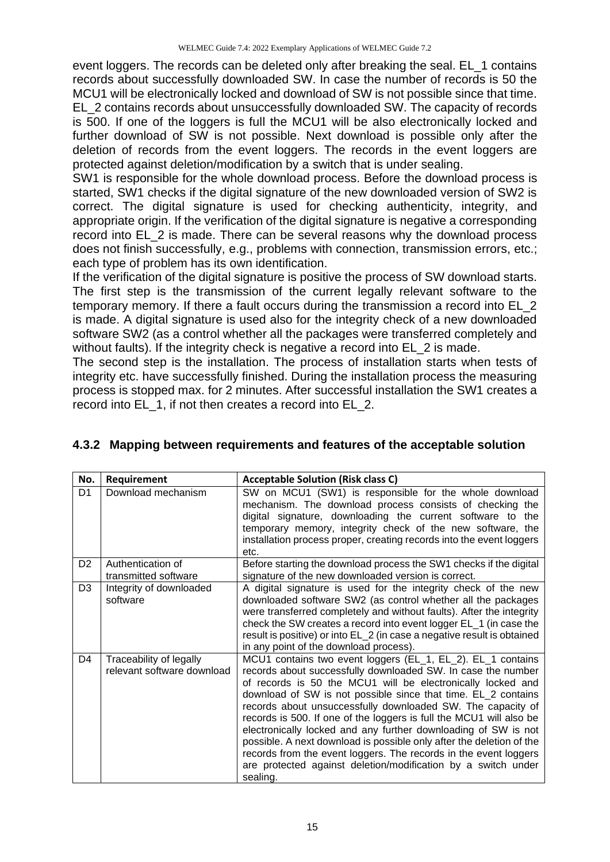event loggers. The records can be deleted only after breaking the seal. EL\_1 contains records about successfully downloaded SW. In case the number of records is 50 the MCU1 will be electronically locked and download of SW is not possible since that time. EL\_2 contains records about unsuccessfully downloaded SW. The capacity of records is 500. If one of the loggers is full the MCU1 will be also electronically locked and further download of SW is not possible. Next download is possible only after the deletion of records from the event loggers. The records in the event loggers are protected against deletion/modification by a switch that is under sealing.

SW1 is responsible for the whole download process. Before the download process is started, SW1 checks if the digital signature of the new downloaded version of SW2 is correct. The digital signature is used for checking authenticity, integrity, and appropriate origin. If the verification of the digital signature is negative a corresponding record into EL\_2 is made. There can be several reasons why the download process does not finish successfully, e.g., problems with connection, transmission errors, etc.; each type of problem has its own identification.

If the verification of the digital signature is positive the process of SW download starts. The first step is the transmission of the current legally relevant software to the temporary memory. If there a fault occurs during the transmission a record into EL\_2 is made. A digital signature is used also for the integrity check of a new downloaded software SW2 (as a control whether all the packages were transferred completely and without faults). If the integrity check is negative a record into EL 2 is made.

The second step is the installation. The process of installation starts when tests of integrity etc. have successfully finished. During the installation process the measuring process is stopped max. for 2 minutes. After successful installation the SW1 creates a record into EL\_1, if not then creates a record into EL\_2.

| No.            | Requirement                                           | <b>Acceptable Solution (Risk class C)</b>                                                                                                                                                                                                                                                                                                                                                                                                                                                                                                                                                                                                                                                    |
|----------------|-------------------------------------------------------|----------------------------------------------------------------------------------------------------------------------------------------------------------------------------------------------------------------------------------------------------------------------------------------------------------------------------------------------------------------------------------------------------------------------------------------------------------------------------------------------------------------------------------------------------------------------------------------------------------------------------------------------------------------------------------------------|
| D <sub>1</sub> | Download mechanism                                    | SW on MCU1 (SW1) is responsible for the whole download<br>mechanism. The download process consists of checking the<br>digital signature, downloading the current software to the<br>temporary memory, integrity check of the new software, the<br>installation process proper, creating records into the event loggers<br>etc.                                                                                                                                                                                                                                                                                                                                                               |
| D <sub>2</sub> | Authentication of<br>transmitted software             | Before starting the download process the SW1 checks if the digital<br>signature of the new downloaded version is correct.                                                                                                                                                                                                                                                                                                                                                                                                                                                                                                                                                                    |
| D <sub>3</sub> | Integrity of downloaded<br>software                   | A digital signature is used for the integrity check of the new<br>downloaded software SW2 (as control whether all the packages<br>were transferred completely and without faults). After the integrity<br>check the SW creates a record into event logger EL_1 (in case the<br>result is positive) or into EL_2 (in case a negative result is obtained<br>in any point of the download process).                                                                                                                                                                                                                                                                                             |
| D4             | Traceability of legally<br>relevant software download | MCU1 contains two event loggers (EL_1, EL_2). EL_1 contains<br>records about successfully downloaded SW. In case the number<br>of records is 50 the MCU1 will be electronically locked and<br>download of SW is not possible since that time. EL_2 contains<br>records about unsuccessfully downloaded SW. The capacity of<br>records is 500. If one of the loggers is full the MCU1 will also be<br>electronically locked and any further downloading of SW is not<br>possible. A next download is possible only after the deletion of the<br>records from the event loggers. The records in the event loggers<br>are protected against deletion/modification by a switch under<br>sealing. |

#### <span id="page-14-0"></span>**4.3.2 Mapping between requirements and features of the acceptable solution**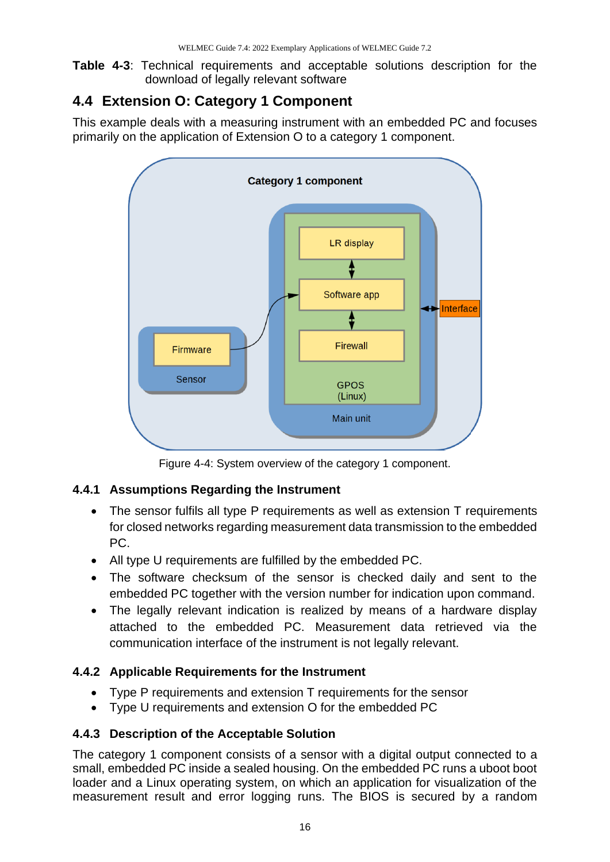**Table 4-3**: Technical requirements and acceptable solutions description for the download of legally relevant software

#### <span id="page-15-0"></span>**4.4 Extension O: Category 1 Component**

This example deals with a measuring instrument with an embedded PC and focuses primarily on the application of Extension O to a category 1 component.



Figure 4-4: System overview of the category 1 component.

#### <span id="page-15-1"></span>**4.4.1 Assumptions Regarding the Instrument**

- The sensor fulfils all type P requirements as well as extension T requirements for closed networks regarding measurement data transmission to the embedded PC.
- All type U requirements are fulfilled by the embedded PC.
- The software checksum of the sensor is checked daily and sent to the embedded PC together with the version number for indication upon command.
- The legally relevant indication is realized by means of a hardware display attached to the embedded PC. Measurement data retrieved via the communication interface of the instrument is not legally relevant.

#### <span id="page-15-2"></span>**4.4.2 Applicable Requirements for the Instrument**

- Type P requirements and extension T requirements for the sensor
- Type U requirements and extension O for the embedded PC

#### <span id="page-15-3"></span>**4.4.3 Description of the Acceptable Solution**

The category 1 component consists of a sensor with a digital output connected to a small, embedded PC inside a sealed housing. On the embedded PC runs a uboot boot loader and a Linux operating system, on which an application for visualization of the measurement result and error logging runs. The BIOS is secured by a random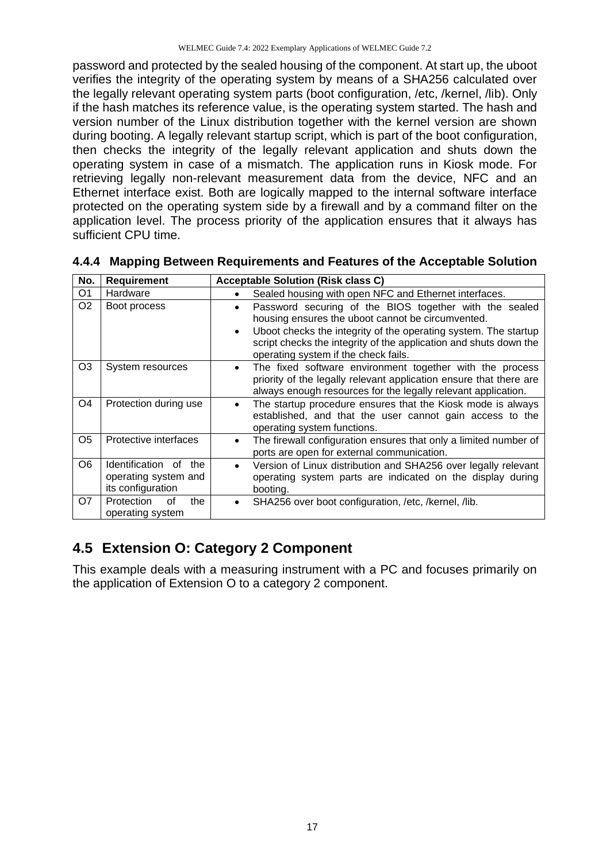password and protected by the sealed housing of the component. At start up, the uboot verifies the integrity of the operating system by means of a SHA256 calculated over the legally relevant operating system parts (boot configuration, /etc, /kernel, /lib). Only if the hash matches its reference value, is the operating system started. The hash and version number of the Linux distribution together with the kernel version are shown during booting. A legally relevant startup script, which is part of the boot configuration, then checks the integrity of the legally relevant application and shuts down the operating system in case of a mismatch. The application runs in Kiosk mode. For retrieving legally non-relevant measurement data from the device, NFC and an Ethernet interface exist. Both are logically mapped to the internal software interface protected on the operating system side by a firewall and by a command filter on the application level. The process priority of the application ensures that it always has sufficient CPU time.

| No.            | <b>Requirement</b>                                                    | <b>Acceptable Solution (Risk class C)</b>                                                                                                                                                                                                                                                                     |
|----------------|-----------------------------------------------------------------------|---------------------------------------------------------------------------------------------------------------------------------------------------------------------------------------------------------------------------------------------------------------------------------------------------------------|
| O <sub>1</sub> | Hardware                                                              | Sealed housing with open NFC and Ethernet interfaces.<br>٠                                                                                                                                                                                                                                                    |
| O <sub>2</sub> | Boot process                                                          | Password securing of the BIOS together with the sealed<br>$\bullet$<br>housing ensures the uboot cannot be circumvented.<br>Uboot checks the integrity of the operating system. The startup<br>٠<br>script checks the integrity of the application and shuts down the<br>operating system if the check fails. |
| O3             | System resources                                                      | The fixed software environment together with the process<br>٠<br>priority of the legally relevant application ensure that there are<br>always enough resources for the legally relevant application.                                                                                                          |
| O <sub>4</sub> | Protection during use                                                 | The startup procedure ensures that the Kiosk mode is always<br>٠<br>established, and that the user cannot gain access to the<br>operating system functions.                                                                                                                                                   |
| O5             | Protective interfaces                                                 | The firewall configuration ensures that only a limited number of<br>$\bullet$<br>ports are open for external communication.                                                                                                                                                                                   |
| O6             | Identification of<br>the<br>operating system and<br>its configuration | Version of Linux distribution and SHA256 over legally relevant<br>$\bullet$<br>operating system parts are indicated on the display during<br>booting.                                                                                                                                                         |
| O7             | Protection<br>the<br>οf<br>operating system                           | SHA256 over boot configuration, /etc, /kernel, /lib.<br>$\bullet$                                                                                                                                                                                                                                             |

<span id="page-16-0"></span>

|  |  | 4.4.4 Mapping Between Requirements and Features of the Acceptable Solution |
|--|--|----------------------------------------------------------------------------|
|  |  |                                                                            |

#### <span id="page-16-1"></span>**4.5 Extension O: Category 2 Component**

This example deals with a measuring instrument with a PC and focuses primarily on the application of Extension O to a category 2 component.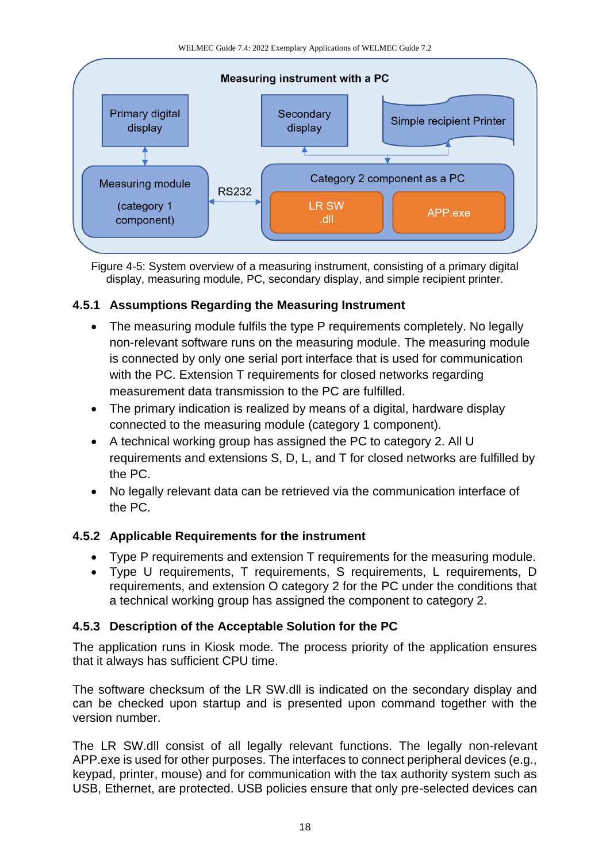

Figure 4-5: System overview of a measuring instrument, consisting of a primary digital display, measuring module, PC, secondary display, and simple recipient printer.

#### <span id="page-17-0"></span>**4.5.1 Assumptions Regarding the Measuring Instrument**

- The measuring module fulfils the type P requirements completely. No legally non-relevant software runs on the measuring module. The measuring module is connected by only one serial port interface that is used for communication with the PC. Extension T requirements for closed networks regarding measurement data transmission to the PC are fulfilled.
- The primary indication is realized by means of a digital, hardware display connected to the measuring module (category 1 component).
- A technical working group has assigned the PC to category 2. All U requirements and extensions S, D, L, and T for closed networks are fulfilled by the PC.
- No legally relevant data can be retrieved via the communication interface of the PC.

#### <span id="page-17-1"></span>**4.5.2 Applicable Requirements for the instrument**

- Type P requirements and extension T requirements for the measuring module.
- Type U requirements, T requirements, S requirements, L requirements, D requirements, and extension O category 2 for the PC under the conditions that a technical working group has assigned the component to category 2.

#### <span id="page-17-2"></span>**4.5.3 Description of the Acceptable Solution for the PC**

The application runs in Kiosk mode. The process priority of the application ensures that it always has sufficient CPU time.

The software checksum of the LR SW.dll is indicated on the secondary display and can be checked upon startup and is presented upon command together with the version number.

The LR SW.dll consist of all legally relevant functions. The legally non-relevant APP.exe is used for other purposes. The interfaces to connect peripheral devices (e.g., keypad, printer, mouse) and for communication with the tax authority system such as USB, Ethernet, are protected. USB policies ensure that only pre-selected devices can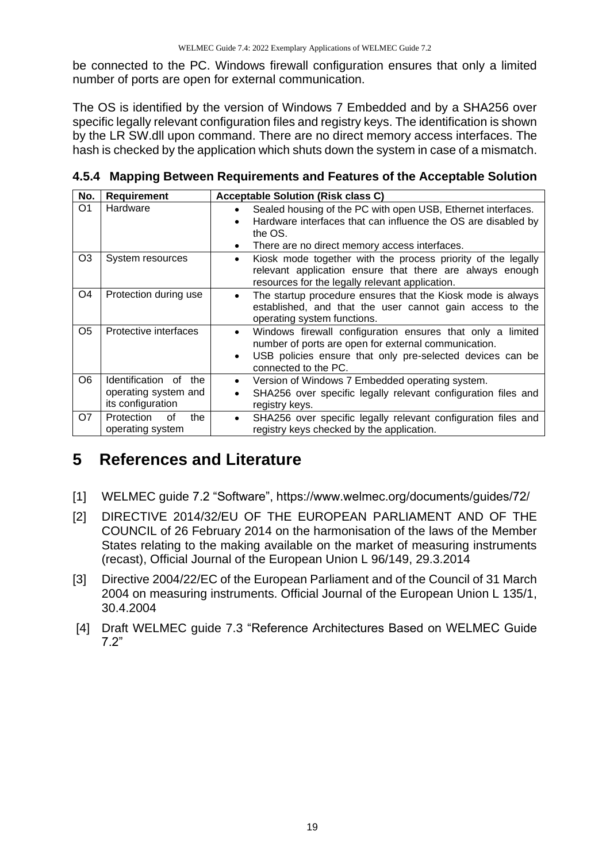be connected to the PC. Windows firewall configuration ensures that only a limited number of ports are open for external communication.

The OS is identified by the version of Windows 7 Embedded and by a SHA256 over specific legally relevant configuration files and registry keys. The identification is shown by the LR SW.dll upon command. There are no direct memory access interfaces. The hash is checked by the application which shuts down the system in case of a mismatch.

| No.            | Requirement                                                        | <b>Acceptable Solution (Risk class C)</b>                                                                                                                                                                                         |
|----------------|--------------------------------------------------------------------|-----------------------------------------------------------------------------------------------------------------------------------------------------------------------------------------------------------------------------------|
| O <sub>1</sub> | Hardware                                                           | Sealed housing of the PC with open USB, Ethernet interfaces.<br>٠<br>Hardware interfaces that can influence the OS are disabled by<br>$\bullet$<br>the OS.<br>There are no direct memory access interfaces.<br>$\bullet$          |
| O <sub>3</sub> | System resources                                                   | Kiosk mode together with the process priority of the legally<br>$\bullet$<br>relevant application ensure that there are always enough<br>resources for the legally relevant application.                                          |
| O <sub>4</sub> | Protection during use                                              | The startup procedure ensures that the Kiosk mode is always<br>$\bullet$<br>established, and that the user cannot gain access to the<br>operating system functions.                                                               |
| O <sub>5</sub> | Protective interfaces                                              | Windows firewall configuration ensures that only a limited<br>$\bullet$<br>number of ports are open for external communication.<br>USB policies ensure that only pre-selected devices can be<br>$\bullet$<br>connected to the PC. |
| O <sub>6</sub> | Identification of the<br>operating system and<br>its configuration | Version of Windows 7 Embedded operating system.<br>٠<br>SHA256 over specific legally relevant configuration files and<br>registry keys.                                                                                           |
| O7             | Protection<br>οf<br>the<br>operating system                        | SHA256 over specific legally relevant configuration files and<br>$\bullet$<br>registry keys checked by the application.                                                                                                           |

<span id="page-18-0"></span>**4.5.4 Mapping Between Requirements and Features of the Acceptable Solution**

# <span id="page-18-1"></span>**5 References and Literature**

- [1] WELMEC guide 7.2 "Software", https://www.welmec.org/documents/guides/72/
- [2] DIRECTIVE 2014/32/EU OF THE EUROPEAN PARLIAMENT AND OF THE COUNCIL of 26 February 2014 on the harmonisation of the laws of the Member States relating to the making available on the market of measuring instruments (recast), Official Journal of the European Union L 96/149, 29.3.2014
- [3] Directive 2004/22/EC of the European Parliament and of the Council of 31 March 2004 on measuring instruments. Official Journal of the European Union L 135/1, 30.4.2004
- [4] Draft WELMEC guide 7.3 "Reference Architectures Based on WELMEC Guide 7.2"